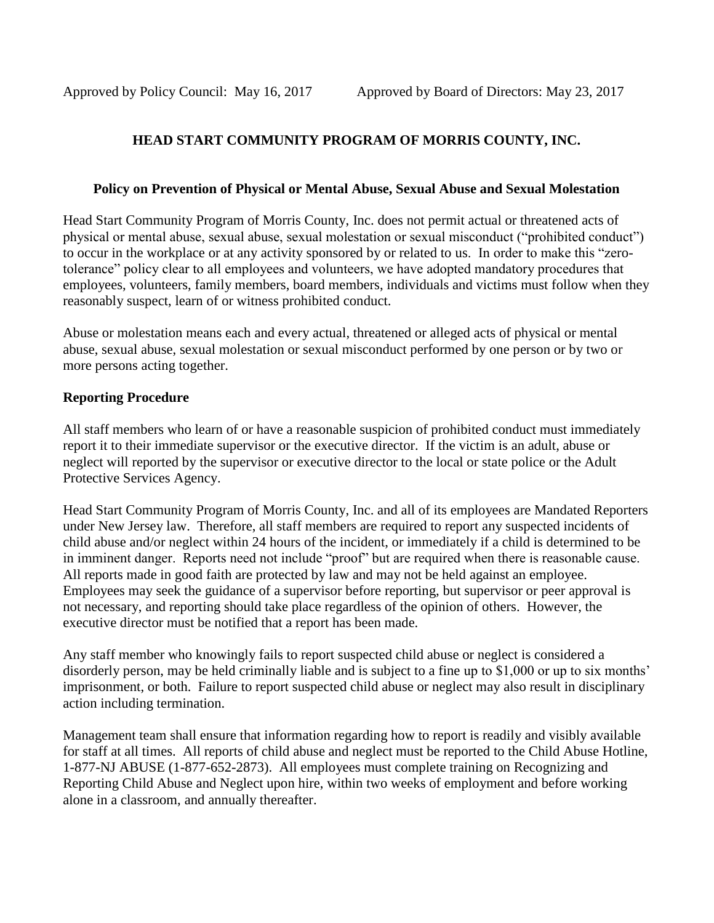# **HEAD START COMMUNITY PROGRAM OF MORRIS COUNTY, INC.**

#### **Policy on Prevention of Physical or Mental Abuse, Sexual Abuse and Sexual Molestation**

Head Start Community Program of Morris County, Inc. does not permit actual or threatened acts of physical or mental abuse, sexual abuse, sexual molestation or sexual misconduct ("prohibited conduct") to occur in the workplace or at any activity sponsored by or related to us. In order to make this "zerotolerance" policy clear to all employees and volunteers, we have adopted mandatory procedures that employees, volunteers, family members, board members, individuals and victims must follow when they reasonably suspect, learn of or witness prohibited conduct.

Abuse or molestation means each and every actual, threatened or alleged acts of physical or mental abuse, sexual abuse, sexual molestation or sexual misconduct performed by one person or by two or more persons acting together.

## **Reporting Procedure**

All staff members who learn of or have a reasonable suspicion of prohibited conduct must immediately report it to their immediate supervisor or the executive director. If the victim is an adult, abuse or neglect will reported by the supervisor or executive director to the local or state police or the Adult Protective Services Agency.

Head Start Community Program of Morris County, Inc. and all of its employees are Mandated Reporters under New Jersey law. Therefore, all staff members are required to report any suspected incidents of child abuse and/or neglect within 24 hours of the incident, or immediately if a child is determined to be in imminent danger. Reports need not include "proof" but are required when there is reasonable cause. All reports made in good faith are protected by law and may not be held against an employee. Employees may seek the guidance of a supervisor before reporting, but supervisor or peer approval is not necessary, and reporting should take place regardless of the opinion of others. However, the executive director must be notified that a report has been made.

Any staff member who knowingly fails to report suspected child abuse or neglect is considered a disorderly person, may be held criminally liable and is subject to a fine up to \$1,000 or up to six months' imprisonment, or both. Failure to report suspected child abuse or neglect may also result in disciplinary action including termination.

Management team shall ensure that information regarding how to report is readily and visibly available for staff at all times. All reports of child abuse and neglect must be reported to the Child Abuse Hotline, 1-877-NJ ABUSE (1-877-652-2873). All employees must complete training on Recognizing and Reporting Child Abuse and Neglect upon hire, within two weeks of employment and before working alone in a classroom, and annually thereafter.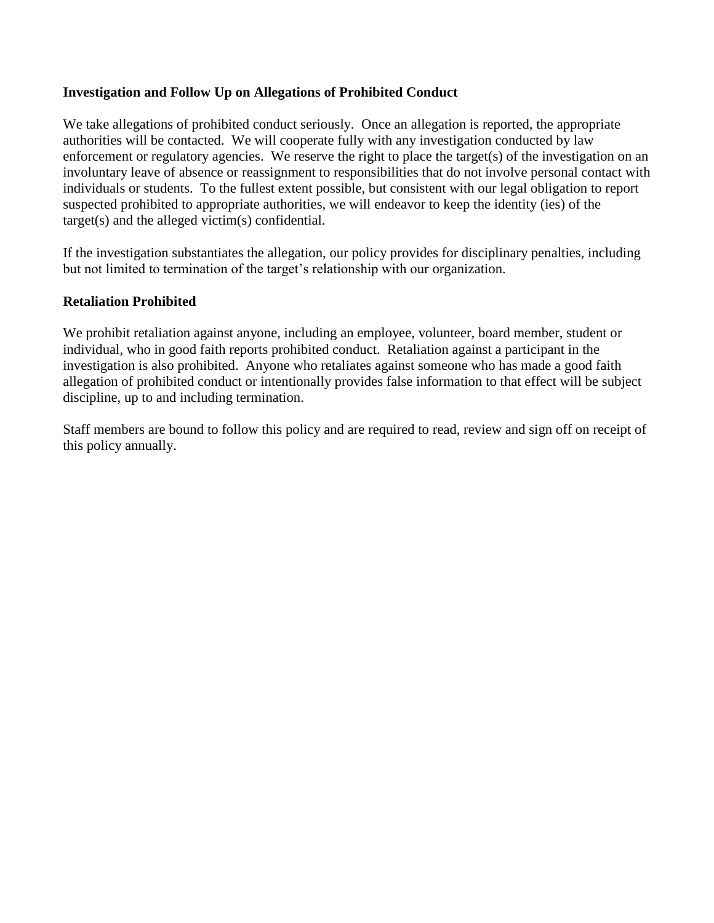#### **Investigation and Follow Up on Allegations of Prohibited Conduct**

We take allegations of prohibited conduct seriously. Once an allegation is reported, the appropriate authorities will be contacted. We will cooperate fully with any investigation conducted by law enforcement or regulatory agencies. We reserve the right to place the target(s) of the investigation on an involuntary leave of absence or reassignment to responsibilities that do not involve personal contact with individuals or students. To the fullest extent possible, but consistent with our legal obligation to report suspected prohibited to appropriate authorities, we will endeavor to keep the identity (ies) of the target(s) and the alleged victim(s) confidential.

If the investigation substantiates the allegation, our policy provides for disciplinary penalties, including but not limited to termination of the target's relationship with our organization.

## **Retaliation Prohibited**

We prohibit retaliation against anyone, including an employee, volunteer, board member, student or individual, who in good faith reports prohibited conduct. Retaliation against a participant in the investigation is also prohibited. Anyone who retaliates against someone who has made a good faith allegation of prohibited conduct or intentionally provides false information to that effect will be subject discipline, up to and including termination.

Staff members are bound to follow this policy and are required to read, review and sign off on receipt of this policy annually.